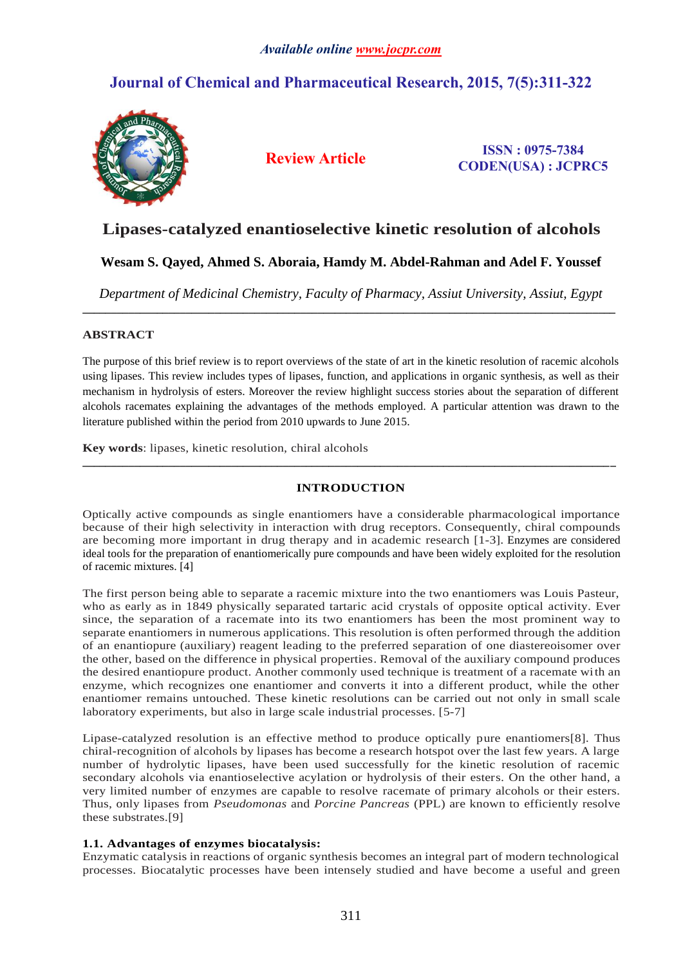# **Journal of Chemical and Pharmaceutical Research, 2015, 7(5):311-322**



**Review Article ISSN : 0975-7384 CODEN(USA) : JCPRC5**

# **Lipases-catalyzed enantioselective kinetic resolution of alcohols**

## **Wesam S. Qayed, Ahmed S. Aboraia, Hamdy M. Abdel-Rahman and Adel F. Youssef**

*Department of Medicinal Chemistry, Faculty of Pharmacy, Assiut University, Assiut, Egypt* **\_\_\_\_\_\_\_\_\_\_\_\_\_\_\_\_\_\_\_\_\_\_\_\_\_\_\_\_\_\_\_\_\_\_\_\_\_\_\_\_\_\_\_\_\_\_\_\_\_\_\_\_\_\_\_\_\_\_\_\_\_\_\_\_\_\_\_\_\_\_\_\_\_\_\_\_\_\_\_\_\_\_\_\_\_\_\_\_\_\_\_\_\_**

## **ABSTRACT**

The purpose of this brief review is to report overviews of the state of art in the kinetic resolution of racemic alcohols using lipases. This review includes types of lipases, function, and applications in organic synthesis, as well as their mechanism in hydrolysis of esters. Moreover the review highlight success stories about the separation of different alcohols racemates explaining the advantages of the methods employed. A particular attention was drawn to the literature published within the period from 2010 upwards to June 2015.

**Key words**: lipases, kinetic resolution, chiral alcohols

## **INTRODUCTION**

**\_\_\_\_\_\_\_\_\_\_\_\_\_\_\_\_\_\_\_\_\_\_\_\_\_\_\_\_\_\_\_\_\_\_\_\_\_\_\_\_\_\_\_\_\_\_\_\_\_\_\_\_\_\_\_\_\_\_\_\_\_\_\_\_\_\_\_\_\_\_\_\_\_\_\_\_\_\_\_\_\_\_\_\_\_\_\_\_\_\_\_\_\_**

Optically active compounds as single enantiomers have a considerable pharmacological importance because of their high selectivity in interaction with drug receptors. Consequently, chiral compounds are becoming more important in drug therapy and in academic research [\[1-3\]](#page-10-0). Enzymes are considered ideal tools for the preparation of enantiomerically pure compounds and have been widely exploited for the resolution of racemic mixtures. [\[4\]](#page-10-1)

The first person being able to separate a racemic mixture into the two enantiomers was Louis Pasteur, who as early as in 1849 physically separated tartaric acid crystals of opposite optical activity. Ever since, the separation of a racemate into its two enantiomers has been the most prominent way to separate enantiomers in numerous applications. This resolution is often performed through the addition of an enantiopure (auxiliary) reagent leading to the preferred separation of one diastereoisomer over the other, based on the difference in physical properties. Removal of the auxiliary compound produces the desired enantiopure product. Another commonly used technique is treatment of a racemate with an enzyme, which recognizes one enantiomer and converts it into a different product, while the other enantiomer remains untouched. These kinetic resolutions can be carried out not only in small scale laboratory experiments, but also in large scale industrial processes. [\[5-7\]](#page-10-2)

Lipase-catalyzed resolution is an effective method to produce optically pure enantiomers[\[8\]](#page-10-3). Thus chiral-recognition of alcohols by lipases has become a research hotspot over the last few years. A large number of hydrolytic lipases, have been used successfully for the kinetic resolution of racemic secondary alcohols via enantioselective acylation or hydrolysis of their esters. On the other hand, a very limited number of enzymes are capable to resolve racemate of primary alcohols or their esters. Thus, only lipases from *Pseudomonas* and *Porcine Pancreas* (PPL) are known to efficiently resolve these substrates.[\[9\]](#page-11-0)

## **1.1. Advantages of enzymes biocatalysis:**

Enzymatic catalysis in reactions of organic synthesis becomes an integral part of modern technological processes. Biocatalytic processes have been intensely studied and have become a useful and green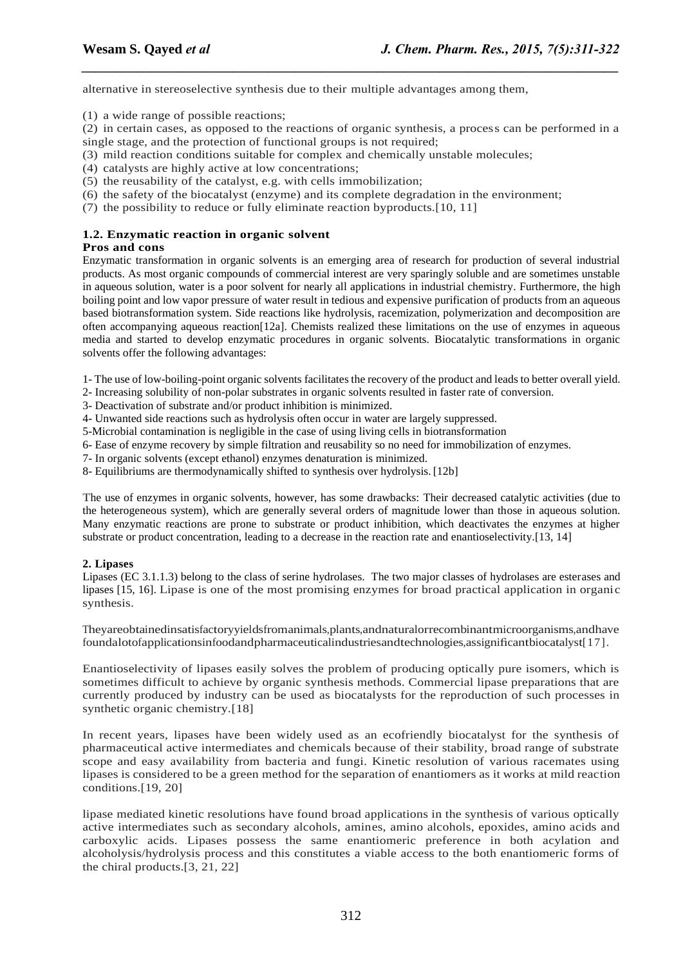alternative in stereoselective synthesis due to their multiple advantages among them,

(1) a wide range of possible reactions;

(2) in certain cases, as opposed to the reactions of organic synthesis, a process can be performed in a single stage, and the protection of functional groups is not required;

*\_\_\_\_\_\_\_\_\_\_\_\_\_\_\_\_\_\_\_\_\_\_\_\_\_\_\_\_\_\_\_\_\_\_\_\_\_\_\_\_\_\_\_\_\_\_\_\_\_\_\_\_\_\_\_\_\_\_\_\_\_\_\_\_\_\_\_\_\_\_\_\_\_\_\_\_\_\_*

- (3) mild reaction conditions suitable for complex and chemically unstable molecules;
- (4) catalysts are highly active at low concentrations;
- (5) the reusability of the catalyst, e.g. with cells immobilization;
- (6) the safety of the biocatalyst (enzyme) and its complete degradation in the environment;
- $(7)$  the possibility to reduce or fully eliminate reaction byproducts. [\[10,](#page-11-1) [11\]](#page-11-2)

## **1.2. Enzymatic reaction in organic solvent**

## **Pros and cons**

Enzymatic transformation in organic solvents is an emerging area of research for production of several industrial products. As most organic compounds of commercial interest are very sparingly soluble and are sometimes unstable in aqueous solution, water is a poor solvent for nearly all applications in industrial chemistry. Furthermore, the high boiling point and low vapor pressure of water result in tedious and expensive purification of products from an aqueous based biotransformation system. Side reactions like hydrolysis, racemization, polymerization and decomposition are often accompanying aqueous reaction[\[12a](#page-11-3)]. Chemists realized these limitations on the use of enzymes in aqueous media and started to develop enzymatic procedures in organic solvents. Biocatalytic transformations in organic solvents offer the following advantages:

1- The use of low-boiling-point organic solvents facilitates the recovery of the product and leads to better overall yield.

- 2- Increasing solubility of non-polar substrates in organic solvents resulted in faster rate of conversion.
- 3- Deactivation of substrate and/or product inhibition is minimized.
- 4- Unwanted side reactions such as hydrolysis often occur in water are largely suppressed.
- 5-Microbial contamination is negligible in the case of using living cells in biotransformation
- 6- Ease of enzyme recovery by simple filtration and reusability so no need for immobilization of enzymes.
- 7- In organic solvents (except ethanol) enzymes denaturation is minimized.
- 8- Equilibriums are thermodynamically shifted to synthesis over hydrolysis. [\[12b](#page-11-3)]

The use of enzymes in organic solvents, however, has some drawbacks: Their decreased catalytic activities (due to the heterogeneous system), which are generally several orders of magnitude lower than those in aqueous solution. Many enzymatic reactions are prone to substrate or product inhibition, which deactivates the enzymes at higher substrate or product concentration, leading to a decrease in the reaction rate and enantioselectivity.[\[13,](#page-11-4) [14\]](#page-11-5)

### **2. Lipases**

Lipases (EC 3.1.1.3) belong to the class of serine hydrolases. The two major classes of hydrolases are esterases and lipases [\[15,](#page-11-6) [16\]](#page-11-7). Lipase is one of the most promising enzymes for broad practical application in organic synthesis.

Theyareobtainedinsatisfactoryyieldsfromanimals,plants,andnaturalorrecombinantmicroorganisms,andhave foundalotofapplicationsinfoodandpharmaceuticalindustriesandtechnologies,assignificantbiocatalyst[\[17\]](#page-11-8).

Enantioselectivity of lipases easily solves the problem of producing optically pure isomers, which is sometimes difficult to achieve by organic synthesis methods. Commercial lipase preparations that are currently produced by industry can be used as biocatalysts for the reproduction of such processes in synthetic organic chemistry.<sup>[\[18\]](#page-11-9)</sup>

In recent years, lipases have been widely used as an ecofriendly biocatalyst for the synthesis of pharmaceutical active intermediates and chemicals because of their stability, broad range of substrate scope and easy availability from bacteria and fungi. Kinetic resolution of various racemates using lipases is considered to be a green method for the separation of enantiomers as it works at mild reaction conditions.[\[19,](#page-11-10) [20\]](#page-11-11)

lipase mediated kinetic resolutions have found broad applications in the synthesis of various optically active intermediates such as secondary alcohols, amines, amino alcohols, epoxides, amino acids and carboxylic acids. Lipases possess the same enantiomeric preference in both acylation and alcoholysis/hydrolysis process and this constitutes a viable access to the both enantiomeric forms of the chiral products.[\[3,](#page-10-4) [21,](#page-11-12) [22\]](#page-11-13)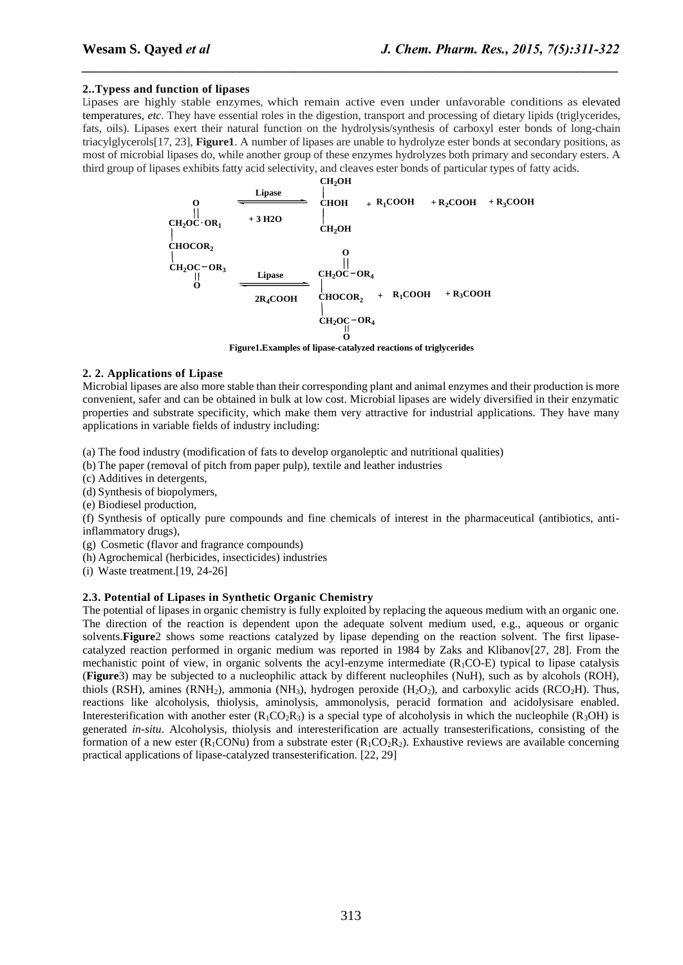#### **2..Typess and function of lipases**

Lipases are highly stable enzymes, which remain active even under unfavorable conditions as elevated temperatures, *etc*. They have essential roles in the digestion, transport and processing of dietary lipids (triglycerides, fats, oils). Lipases exert their natural function on the hydrolysis/synthesis of carboxyl ester bonds of long-chain triacylglycerols[\[17,](#page-11-8) [23\]](#page-11-14), **Figure1**. A number of lipases are unable to hydrolyze ester bonds at secondary positions, as most of microbial lipases do, while another group of these enzymes hydrolyzes both primary and secondary esters. A third group of lipases exhibits fatty acid selectivity, and cleaves ester bonds of particular types of fatty acids.

*\_\_\_\_\_\_\_\_\_\_\_\_\_\_\_\_\_\_\_\_\_\_\_\_\_\_\_\_\_\_\_\_\_\_\_\_\_\_\_\_\_\_\_\_\_\_\_\_\_\_\_\_\_\_\_\_\_\_\_\_\_\_\_\_\_\_\_\_\_\_\_\_\_\_\_\_\_\_*



**Figure1.Examples of lipase-catalyzed reactions of triglycerides**

#### **2. 2. Applications of Lipase**

Microbial lipases are also more stable than their corresponding plant and animal enzymes and their production is more convenient, safer and can be obtained in bulk at low cost. Microbial lipases are widely diversified in their enzymatic properties and substrate specificity, which make them very attractive for industrial applications. They have many applications in variable fields of industry including:

(a) The food industry (modification of fats to develop organoleptic and nutritional qualities)

- (b) The paper (removal of pitch from paper pulp), textile and leather industries
- (c) Additives in detergents,
- (d) Synthesis of biopolymers,
- (e) Biodiesel production,

(f) Synthesis of optically pure compounds and fine chemicals of interest in the pharmaceutical (antibiotics, antiinflammatory drugs),

- (g) Cosmetic (flavor and fragrance compounds)
- (h) Agrochemical (herbicides, insecticides) industries
- (i) Waste treatment.[\[19,](#page-11-10) [24-26\]](#page-11-15)

### **2.3. Potential of Lipases in Synthetic Organic Chemistry**

The potential of lipases in organic chemistry is fully exploited by replacing the aqueous medium with an organic one. The direction of the reaction is dependent upon the adequate solvent medium used, e.g., aqueous or organic solvents.**Figure**2 shows some reactions catalyzed by lipase depending on the reaction solvent. The first lipasecatalyzed reaction performed in organic medium was reported in 1984 by Zaks and Klibanov[\[27,](#page-11-16) [28\]](#page-11-17). From the mechanistic point of view, in organic solvents the acyl-enzyme intermediate  $(R_1CO-E)$  typical to lipase catalysis (**Figure**3) may be subjected to a nucleophilic attack by different nucleophiles (NuH), such as by alcohols (ROH), thiols (RSH), amines (RNH<sub>2</sub>), ammonia (NH<sub>3</sub>), hydrogen peroxide (H<sub>2</sub>O<sub>2</sub>), and carboxylic acids (RCO<sub>2</sub>H). Thus, reactions like alcoholysis, thiolysis, aminolysis, ammonolysis, peracid formation and acidolysisare enabled. Interesterification with another ester  $(R_1CO_2R_3)$  is a special type of alcoholysis in which the nucleophile  $(R_3OH)$  is generated *in-situ*. Alcoholysis, thiolysis and interesterification are actually transesterifications, consisting of the formation of a new ester (R<sub>1</sub>CONu) from a substrate ester (R<sub>1</sub>CO<sub>2</sub>R<sub>2</sub>). Exhaustive reviews are available concerning practical applications of lipase-catalyzed transesterification. [\[22,](#page-11-13) [29\]](#page-11-18)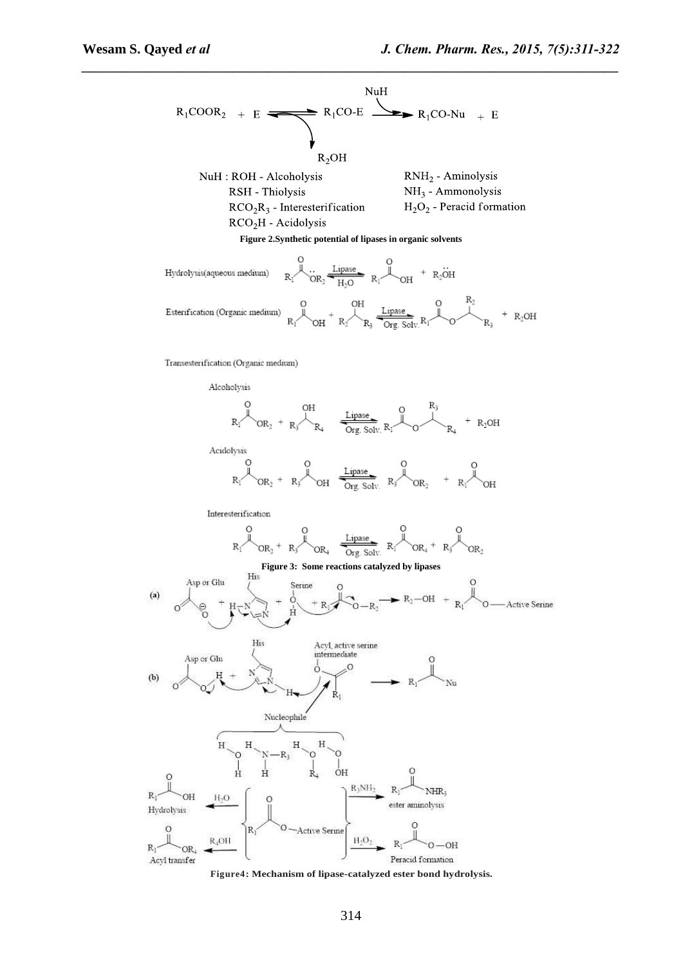

Peracid formation **Figure4: Mechanism of lipase-catalyzed ester bond hydrolysis.**

 $O<sub>H</sub>$ 

 $R_3NH_2$ 

H<sub>2</sub>O<sub>2</sub>

R

NHR:

OH

ester aminolysis

 $R_1$ 

O-Active Serine

Ĥ

 $R_1$ 

 $R_1$ 

 $R_1$ 

Hydrolysis

Acyl transfer

OH

OR.

 $H<sub>2</sub>O$ 

 $R_4$ OH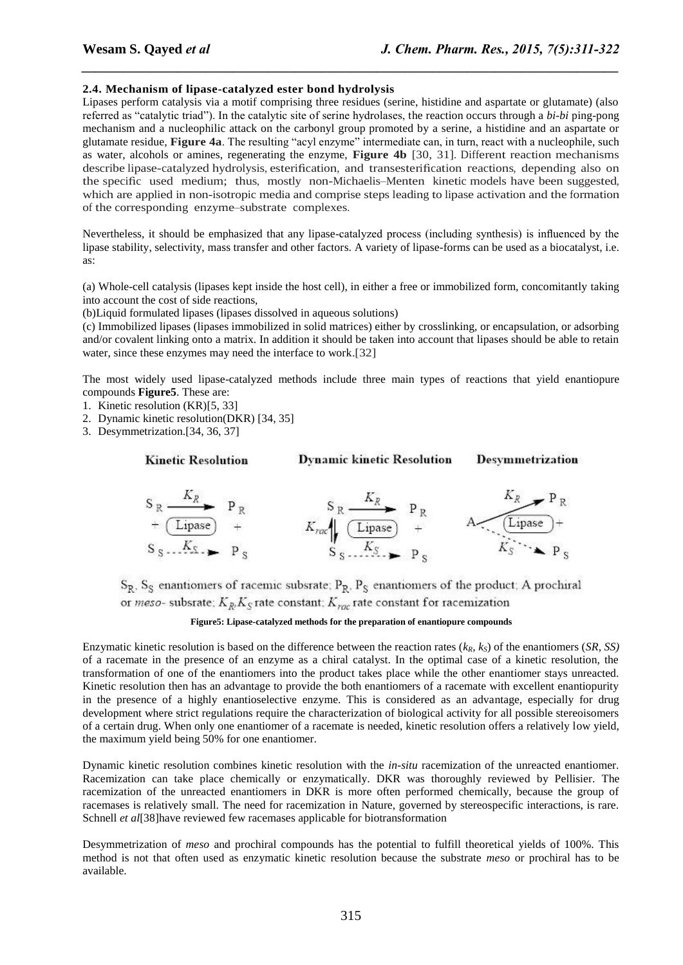#### **2.4. Mechanism of lipase-catalyzed ester bond hydrolysis**

Lipases perform catalysis via a motif comprising three residues (serine, histidine and aspartate or glutamate) (also referred as "catalytic triad"). In the catalytic site of serine hydrolases, the reaction occurs through a *bi-bi* ping-pong mechanism and a nucleophilic attack on the carbonyl group promoted by a serine, a histidine and an aspartate or glutamate residue, **Figure 4a**. The resulting "acyl enzyme" intermediate can, in turn, react with a nucleophile, such as water, alcohols or amines, regenerating the enzyme, **Figure 4b** [\[30,](file:///E:/F-%20Drive/02-11-09%20morningHappy%20diwali/JOCPR/JCPR-6168/6168.docx%23_ENREF_30) [31\]](file:///E:/F-%20Drive/02-11-09%20morningHappy%20diwali/JOCPR/JCPR-6168/6168.docx%23_ENREF_31). Different reaction mechanisms describe lipase-catalyzed hydrolysis, esterification, and transesterification reactions, depending also on the specific used medium; thus, mostly non-Michaelis–Menten kinetic models have been suggested, which are applied in non-isotropic media and comprise steps leading to lipase activation and the formation of the corresponding enzyme–substrate complexes.

*\_\_\_\_\_\_\_\_\_\_\_\_\_\_\_\_\_\_\_\_\_\_\_\_\_\_\_\_\_\_\_\_\_\_\_\_\_\_\_\_\_\_\_\_\_\_\_\_\_\_\_\_\_\_\_\_\_\_\_\_\_\_\_\_\_\_\_\_\_\_\_\_\_\_\_\_\_\_*

Nevertheless, it should be emphasized that any lipase-catalyzed process (including synthesis) is influenced by the lipase stability, selectivity, mass transfer and other factors. A variety of lipase-forms can be used as a biocatalyst, i.e. as:

(a) Whole-cell catalysis (lipases kept inside the host cell), in either a free or immobilized form, concomitantly taking into account the cost of side reactions,

(b)Liquid formulated lipases (lipases dissolved in aqueous solutions)

(c) Immobilized lipases (lipases immobilized in solid matrices) either by crosslinking, or encapsulation, or adsorbing and/or covalent linking onto a matrix. In addition it should be taken into account that lipases should be able to retain water, since these enzymes may need the interface to work.[\[32\]](#page-11-19)

The most widely used lipase-catalyzed methods include three main types of reactions that yield enantiopure compounds **Figure5**. These are:

- 1. Kinetic resolution (KR)[\[5,](#page-10-2) [33\]](#page-11-20)
- 2. Dynamic kinetic resolution(DKR) [\[34,](#page-11-21) [35\]](#page-11-22)
- 3. Desymmetrization.[\[34,](#page-11-21) [36,](#page-11-23) [37\]](#page-11-24)

```
Kinetic Resolution
```
**Dynamic kinetic Resolution** 

**Desymmetrization** 



 $S_R$ ,  $S_S$  enantiomers of racemic subsrate;  $P_R$ ,  $P_S$  enantiomers of the product; A prochiral or *meso*- subsrate;  $K_R$ ,  $K_S$  rate constant;  $K_{\text{vac}}$  rate constant for racemization

#### **Figure5: Lipase-catalyzed methods for the preparation of enantiopure compounds**

Enzymatic kinetic resolution is based on the difference between the reaction rates (*kR*, *kS*) of the enantiomers (*SR, SS)* of a racemate in the presence of an enzyme as a chiral catalyst. In the optimal case of a kinetic resolution, the transformation of one of the enantiomers into the product takes place while the other enantiomer stays unreacted. Kinetic resolution then has an advantage to provide the both enantiomers of a racemate with excellent enantiopurity in the presence of a highly enantioselective enzyme. This is considered as an advantage, especially for drug development where strict regulations require the characterization of biological activity for all possible stereoisomers of a certain drug. When only one enantiomer of a racemate is needed, kinetic resolution offers a relatively low yield, the maximum yield being 50% for one enantiomer.

Dynamic kinetic resolution combines kinetic resolution with the *in-situ* racemization of the unreacted enantiomer. Racemization can take place chemically or enzymatically. DKR was thoroughly reviewed by Pellisier. The racemization of the unreacted enantiomers in DKR is more often performed chemically, because the group of racemases is relatively small. The need for racemization in Nature, governed by stereospecific interactions, is rare. Schnell *et al*[\[38\]](#page-11-25)have reviewed few racemases applicable for biotransformation

Desymmetrization of *meso* and prochiral compounds has the potential to fulfill theoretical yields of 100%. This method is not that often used as enzymatic kinetic resolution because the substrate *meso* or prochiral has to be available.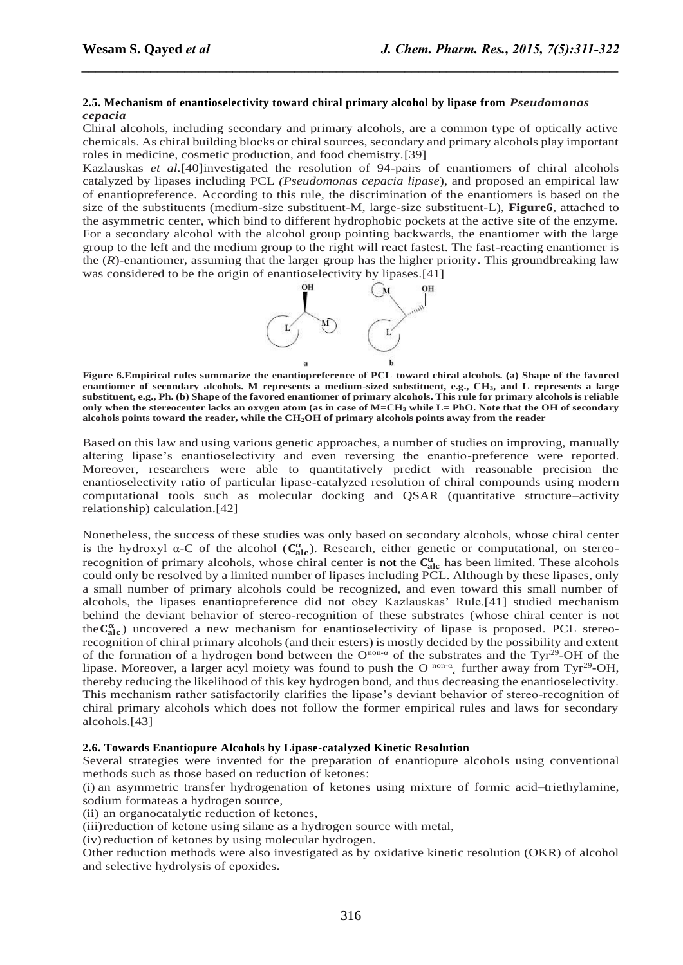#### **2.5. Mechanism of enantioselectivity toward chiral primary alcohol by lipase from** *Pseudomonas cepacia*

Chiral alcohols, including secondary and primary alcohols, are a common type of optically active chemicals. As chiral building blocks or chiral sources, secondary and primary alcohols play important roles in medicine, cosmetic production, and food chemistry.[\[39\]](#page-11-26)

*\_\_\_\_\_\_\_\_\_\_\_\_\_\_\_\_\_\_\_\_\_\_\_\_\_\_\_\_\_\_\_\_\_\_\_\_\_\_\_\_\_\_\_\_\_\_\_\_\_\_\_\_\_\_\_\_\_\_\_\_\_\_\_\_\_\_\_\_\_\_\_\_\_\_\_\_\_\_*

Kazlauskas *et al.*[\[40\]](#page-11-27)investigated the resolution of 94-pairs of enantiomers of chiral alcohols catalyzed by lipases including PCL *(Pseudomonas cepacia lipase*), and proposed an empirical law of enantiopreference. According to this rule, the discrimination of the enantiomers is based on the size of the substituents (medium-size substituent-M, large-size substituent-L), **Figure6**, attached to the asymmetric center, which bind to different hydrophobic pockets at the active site of the enzyme. For a secondary alcohol with the alcohol group pointing backwards, the enantiomer with the large group to the left and the medium group to the right will react fastest. The fast-reacting enantiomer is the  $(R)$ -enantiomer, assuming that the larger group has the higher priority. This groundbreaking law was considered to be the origin of enantioselectivity by lipases.[\[41\]](#page-11-28)



**Figure 6.Empirical rules summarize the enantiopreference of PCL toward chiral alcohols. (a) Shape of the favored enantiomer of secondary alcohols. M represents a medium-sized substituent, e.g., CH3, and L represents a large substituent, e.g., Ph. (b) Shape of the favored enantiomer of primary alcohols. This rule for primary alcohols is reliable only when the stereocenter lacks an oxygen atom (as in case of M=CH<sup>3</sup> while L= PhO. Note that the OH of secondary alcohols points toward the reader, while the CH2OH of primary alcohols points away from the reader**

Based on this law and using various genetic approaches, a number of studies on improving, manually altering lipase's enantioselectivity and even reversing the enantio-preference were reported. Moreover, researchers were able to quantitatively predict with reasonable precision the enantioselectivity ratio of particular lipase-catalyzed resolution of chiral compounds using modern computational tools such as molecular docking and QSAR (quantitative structure–activity relationship) calculation.[\[42\]](#page-11-29)

Nonetheless, the success of these studies was only based on secondary alcohols, whose chiral center is the hydroxyl  $\alpha$ -C of the alcohol ( $C_{\text{alc}}^{\alpha}$ ). Research, either genetic or computational, on stereorecognition of primary alcohols, whose chiral center is not the  $C_{\text{alc}}^{\alpha}$  has been limited. These alcohols could only be resolved by a limited number of lipases including PCL. Although by these lipases, only a small number of primary alcohols could be recognized, and even toward this small number of alcohols, the lipases enantiopreference did not obey Kazlauskas' Rule.[\[41\]](#page-11-28) studied mechanism behind the deviant behavior of stereo-recognition of these substrates (whose chiral center is not the ) uncovered a new mechanism for enantioselectivity of lipase is proposed*.* PCL stereorecognition of chiral primary alcohols (and their esters) is mostly decided by the possibility and extent of the formation of a hydrogen bond between the  $O^{non-\alpha}$  of the substrates and the Tyr<sup>29</sup>-OH of the lipase. Moreover, a larger acyl moiety was found to push the O<sup>non-α</sup> further away from Tyr<sup>29</sup>-OH, thereby reducing the likelihood of this key hydrogen bond, and thus decreasing the enantioselectivity. This mechanism rather satisfactorily clarifies the lipase's deviant behavior of stereo-recognition of chiral primary alcohols which does not follow the former empirical rules and laws for secondary alcohols.[\[43\]](#page-11-30)

### **2.6. Towards Enantiopure Alcohols by Lipase-catalyzed Kinetic Resolution**

Several strategies were invented for the preparation of enantiopure alcohols using conventional methods such as those based on reduction of ketones:

(i) an asymmetric transfer hydrogenation of ketones using mixture of formic acid–triethylamine, sodium formateas a hydrogen source,

(ii) an organocatalytic reduction of ketones,

(iii)reduction of ketone using silane as a hydrogen source with metal,

(iv)reduction of ketones by using molecular hydrogen.

Other reduction methods were also investigated as by oxidative kinetic resolution (OKR) of alcohol and selective hydrolysis of epoxides.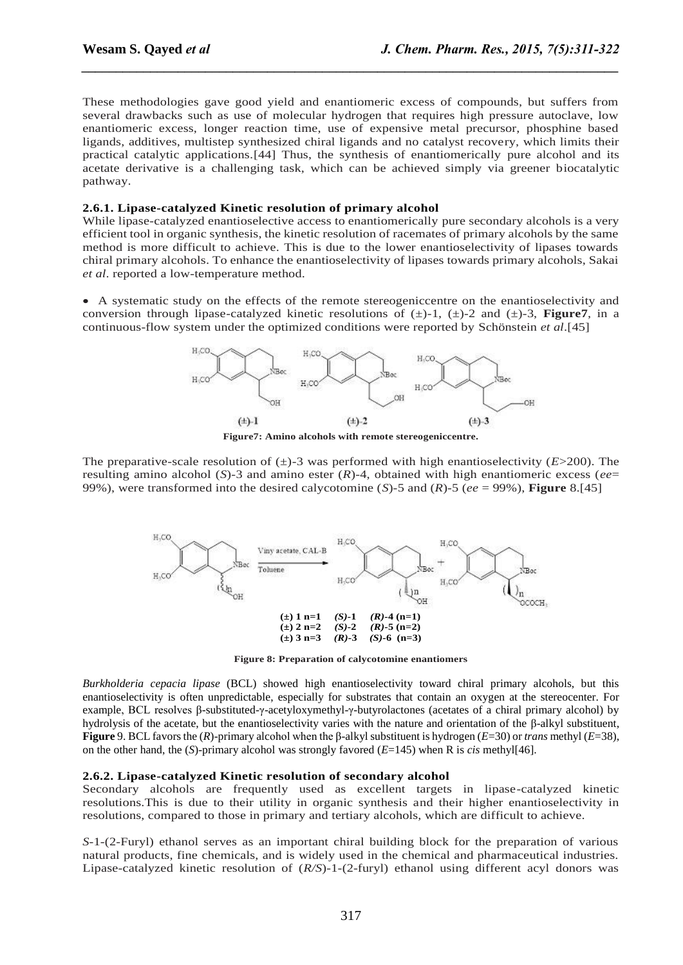These methodologies gave good yield and enantiomeric excess of compounds, but suffers from several drawbacks such as use of molecular hydrogen that requires high pressure autoclave, low enantiomeric excess, longer reaction time, use of expensive metal precursor, phosphine based ligands, additives, multistep synthesized chiral ligands and no catalyst recovery, which limits their practical catalytic applications.[\[44\]](#page-11-31) Thus, the synthesis of enantiomerically pure alcohol and its acetate derivative is a challenging task, which can be achieved simply via greener biocatalytic pathway.

*\_\_\_\_\_\_\_\_\_\_\_\_\_\_\_\_\_\_\_\_\_\_\_\_\_\_\_\_\_\_\_\_\_\_\_\_\_\_\_\_\_\_\_\_\_\_\_\_\_\_\_\_\_\_\_\_\_\_\_\_\_\_\_\_\_\_\_\_\_\_\_\_\_\_\_\_\_\_*

### **2.6.1. Lipase-catalyzed Kinetic resolution of primary alcohol**

While lipase-catalyzed enantioselective access to enantiomerically pure secondary alcohols is a very efficient tool in organic synthesis, the kinetic resolution of racemates of primary alcohols by the same method is more difficult to achieve. This is due to the lower enantioselectivity of lipases towards chiral primary alcohols. To enhance the enantioselectivity of lipases towards primary alcohols, Sakai *et al*. reported a low-temperature method.

 A systematic study on the effects of the remote stereogeniccentre on the enantioselectivity and conversion through lipase-catalyzed kinetic resolutions of  $(\pm)$ -1,  $(\pm)$ -2 and  $(\pm)$ -3, **Figure7**, in a continuous-flow system under the optimized conditions were reported by Schönstein *et al*.[\[45\]](#page-11-32)



The preparative-scale resolution of  $(\pm)$ -3 was performed with high enantioselectivity ( $E$ >200). The resulting amino alcohol (*S*)-3 and amino ester (*R*)-4, obtained with high enantiomeric excess (*ee*= 99%), were transformed into the desired calycotomine (*S*)-5 and (*R*)-5 (*ee* = 99%), **Figure** 8.[\[45\]](#page-11-32)



**Figure 8: Preparation of calycotomine enantiomers**

*Burkholderia cepacia lipase* (BCL) showed high enantioselectivity toward chiral primary alcohols, but this enantioselectivity is often unpredictable, especially for substrates that contain an oxygen at the stereocenter. For example, BCL resolves β-substituted-γ-acetyloxymethyl-γ-butyrolactones (acetates of a chiral primary alcohol) by hydrolysis of the acetate, but the enantioselectivity varies with the nature and orientation of the β-alkyl substituent, **Figure** 9. BCL favors the (*R*)-primary alcohol when the β-alkyl substituent is hydrogen (*E*=30) or *trans* methyl (*E*=38), on the other hand, the (*S*)-primary alcohol was strongly favored (*E*=145) when R is *cis* methyl[\[46\]](#page-11-33).

### **2.6.2. Lipase-catalyzed Kinetic resolution of secondary alcohol**

Secondary alcohols are frequently used as excellent targets in lipase-catalyzed kinetic resolutions.This is due to their utility in organic synthesis and their higher enantioselectivity in resolutions, compared to those in primary and tertiary alcohols, which are difficult to achieve.

*S*-1-(2-Furyl) ethanol serves as an important chiral building block for the preparation of various natural products, fine chemicals, and is widely used in the chemical and pharmaceutical industries. Lipase-catalyzed kinetic resolution of (*R/S*)-1-(2-furyl) ethanol using different acyl donors was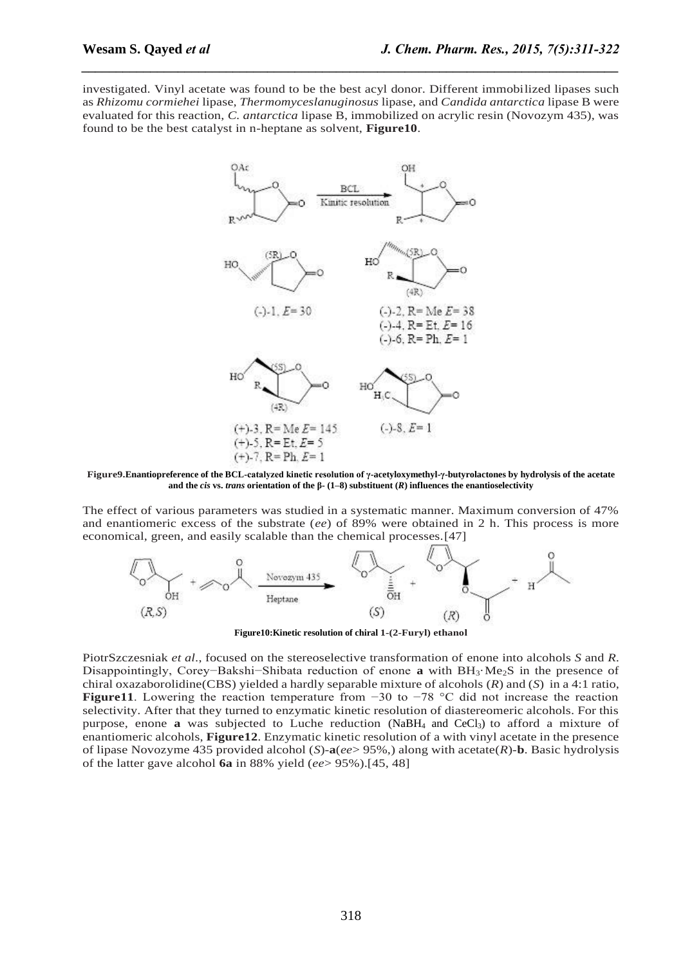investigated. Vinyl acetate was found to be the best acyl donor. Different immobilized lipases such as *Rhizomu cormiehei* lipase, *Thermomyceslanuginosus* lipase, and *Candida antarctica* lipase B were evaluated for this reaction, *C. antarctica* lipase B, immobilized on acrylic resin (Novozym 435), was found to be the best catalyst in n-heptane as solvent, **Figure10**.

*\_\_\_\_\_\_\_\_\_\_\_\_\_\_\_\_\_\_\_\_\_\_\_\_\_\_\_\_\_\_\_\_\_\_\_\_\_\_\_\_\_\_\_\_\_\_\_\_\_\_\_\_\_\_\_\_\_\_\_\_\_\_\_\_\_\_\_\_\_\_\_\_\_\_\_\_\_\_*



**Figure9.Enantiopreference of the BCL-catalyzed kinetic resolution of γ-acetyloxymethyl-γ-butyrolactones by hydrolysis of the acetate and the** *cis* **vs.** *trans* **orientation of the β- (1–8) substituent (***R***) influences the enantioselectivity**

The effect of various parameters was studied in a systematic manner. Maximum conversion of 47% and enantiomeric excess of the substrate (*ee*) of 89% were obtained in 2 h. This process is more economical, green, and easily scalable than the chemical processes.[\[47\]](#page-11-34)



**Figure10:Kinetic resolution of chiral 1-(2-Furyl) ethanol**

PiotrSzczesniak *et al*., focused on the stereoselective transformation of enone into alcohols *S* and *R*. Disappointingly, Corey−Bakshi−Shibata reduction of enone **a** with BH3·Me2S in the presence of chiral oxazaborolidine(CBS) yielded a hardly separable mixture of alcohols (*R*) and (*S*) in a 4:1 ratio, **Figure11**. Lowering the reaction temperature from −30 to −78 °C did not increase the reaction selectivity. After that they turned to enzymatic kinetic resolution of diastereomeric alcohols. For this purpose, enone **a** was subjected to Luche reduction (NaBH<sub>4</sub> and CeCl<sub>3</sub>) to afford a mixture of enantiomeric alcohols, **Figure12**. Enzymatic kinetic resolution of a with vinyl acetate in the presence of lipase Novozyme 435 provided alcohol (*S*)-**a**(*ee*> 95%,) along with acetate(*R*)-**b**. Basic hydrolysis of the latter gave alcohol **6a** in 88% yield (*ee*> 95%).[\[45,](#page-11-32) [48\]](#page-11-35)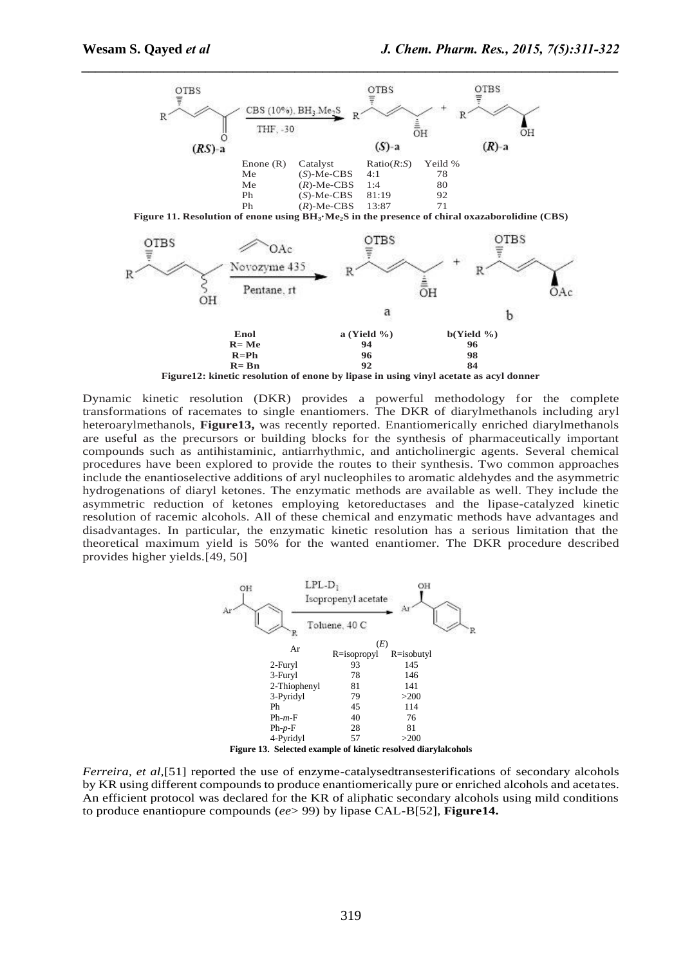

Dynamic kinetic resolution (DKR) provides a powerful methodology for the complete transformations of racemates to single enantiomers. The DKR of diarylmethanols including aryl heteroarylmethanols, **Figure13,** was recently reported. Enantiomerically enriched diarylmethanols are useful as the precursors or building blocks for the synthesis of pharmaceutically important compounds such as antihistaminic, antiarrhythmic, and anticholinergic agents. Several chemical procedures have been explored to provide the routes to their synthesis. Two common approaches include the enantioselective additions of aryl nucleophiles to aromatic aldehydes and the asymmetric hydrogenations of diaryl ketones. The enzymatic methods are available as well. They include the asymmetric reduction of ketones employing ketoreductases and the lipase-catalyzed kinetic resolution of racemic alcohols. All of these chemical and enzymatic methods have advantages and disadvantages. In particular, the enzymatic kinetic resolution has a serious limitation that the theoretical maximum yield is 50% for the wanted enantiomer. The DKR procedure described provides higher yields.[\[49,](#page-11-36) [50\]](#page-11-37)



*Ferreira, et al,*[\[51\]](#page-11-38) reported the use of enzyme-catalysedtransesterifications of secondary alcohols by KR using different compounds to produce enantiomerically pure or enriched alcohols and acetates. An efficient protocol was declared for the KR of aliphatic secondary alcohols using mild conditions to produce enantiopure compounds (*ee*> 99) by lipase CAL-B[\[52\]](#page-11-39), **Figure14.**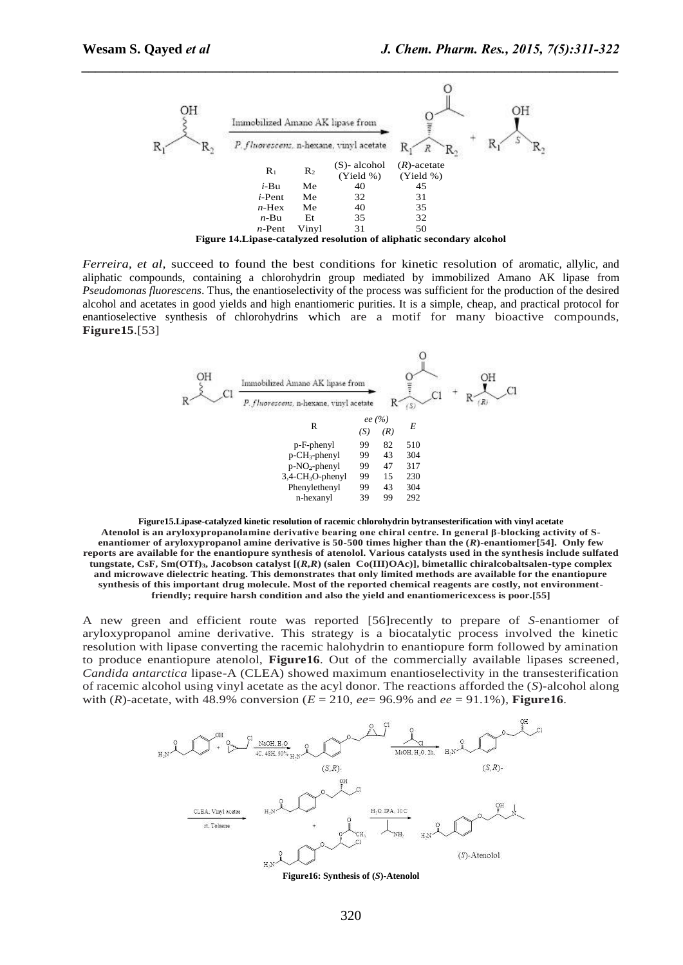

*Ferreira, et al*, succeed to found the best conditions for kinetic resolution of aromatic, allylic, and aliphatic compounds, containing a chlorohydrin group mediated by immobilized Amano AK lipase from *Pseudomonas fluorescens*. Thus, the enantioselectivity of the process was sufficient for the production of the desired alcohol and acetates in good yields and high enantiomeric purities. It is a simple, cheap, and practical protocol for enantioselective synthesis of chlorohydrins which are a motif for many bioactive compounds, **Figure15**.[\[53\]](#page-11-40)



**Figure15.Lipase-catalyzed kinetic resolution of racemic chlorohydrin bytransesterification with vinyl acetate Atenolol is an aryloxypropanolamine derivative bearing one chiral centre. In general β-blocking activity of Senantiomer of aryloxypropanol amine derivative is 50-500 times higher than the (***R***)-enantiomer[\[54\]](#page-11-41). Only few reports are available for the enantiopure synthesis of atenolol. Various catalysts used in the synthesis include sulfated tungstate, CsF, Sm(OTf)3, Jacobson catalyst [(***R,R***) (salen Co(III)OAc)], bimetallic chiralcobaltsalen-type complex and microwave dielectric heating. This demonstrates that only limited methods are available for the enantiopure synthesis of this important drug molecule. Most of the reported chemical reagents are costly, not environmentfriendly; require harsh condition and also the yield and enantiomericexcess is poor.[\[55\]](#page-11-42)**

A new green and efficient route was reported [\[56\]](#page-11-43)recently to prepare of *S*-enantiomer of aryloxypropanol amine derivative. This strategy is a biocatalytic process involved the kinetic resolution with lipase converting the racemic halohydrin to enantiopure form followed by amination to produce enantiopure atenolol, **Figure16**. Out of the commercially available lipases screened*, Candida antarctica* lipase-A (CLEA) showed maximum enantioselectivity in the transesterification of racemic alcohol using vinyl acetate as the acyl donor. The reactions afforded the (*S*)-alcohol along with (*R*)-acetate, with 48.9% conversion ( $E = 210$ ,  $ee = 96.9\%$  and  $ee = 91.1\%$ ), **Figure 16.** 



**Figure16: Synthesis of (***S***)-Atenolol**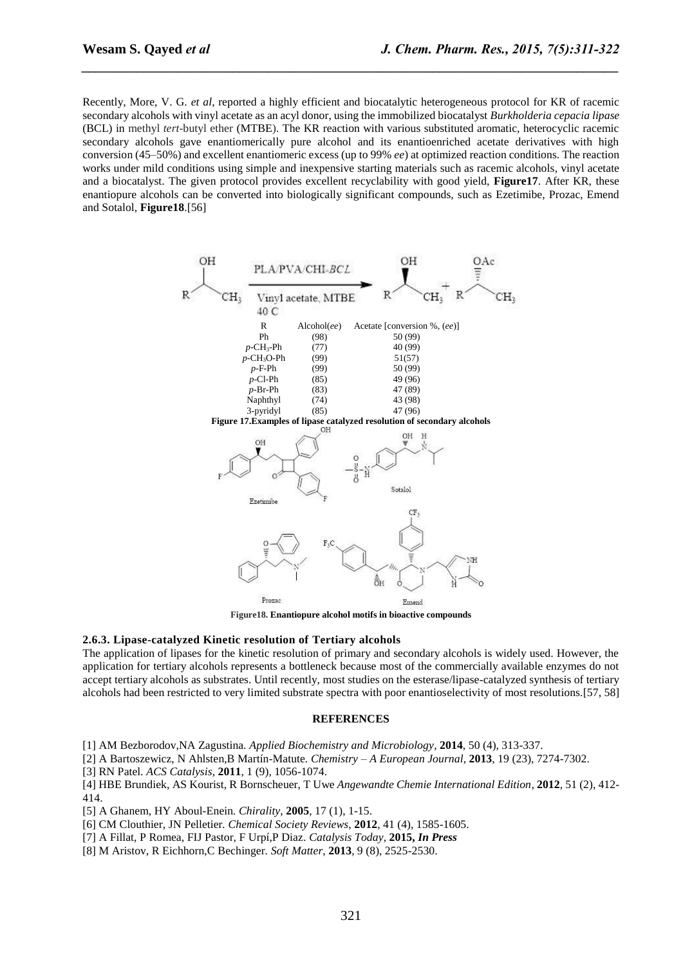Recently, More, V. G. *et al*, reported a highly efficient and biocatalytic heterogeneous protocol for KR of racemic secondary alcohols with vinyl acetate as an acyl donor, using the immobilized biocatalyst *Burkholderia cepacia lipase*  (BCL) in methyl *tert*-butyl ether (MTBE). The KR reaction with various substituted aromatic, heterocyclic racemic secondary alcohols gave enantiomerically pure alcohol and its enantioenriched acetate derivatives with high conversion (45–50%) and excellent enantiomeric excess (up to 99% *ee*) at optimized reaction conditions. The reaction works under mild conditions using simple and inexpensive starting materials such as racemic alcohols, vinyl acetate and a biocatalyst. The given protocol provides excellent recyclability with good yield, **Figure17**. After KR, these enantiopure alcohols can be converted into biologically significant compounds, such as Ezetimibe, Prozac, Emend and Sotalol, **Figure18**.[\[56\]](#page-11-43)

*\_\_\_\_\_\_\_\_\_\_\_\_\_\_\_\_\_\_\_\_\_\_\_\_\_\_\_\_\_\_\_\_\_\_\_\_\_\_\_\_\_\_\_\_\_\_\_\_\_\_\_\_\_\_\_\_\_\_\_\_\_\_\_\_\_\_\_\_\_\_\_\_\_\_\_\_\_\_*



**Figure18. Enantiopure alcohol motifs in bioactive compounds**

#### **2.6.3. Lipase-catalyzed Kinetic resolution of Tertiary alcohols**

The application of lipases for the kinetic resolution of primary and secondary alcohols is widely used. However, the application for tertiary alcohols represents a bottleneck because most of the commercially available enzymes do not accept tertiary alcohols as substrates. Until recently, most studies on the esterase/lipase-catalyzed synthesis of tertiary alcohols had been restricted to very limited substrate spectra with poor enantioselectivity of most resolutions.[\[57,](#page-11-44) [58\]](#page-11-45)

#### **REFERENCES**

<span id="page-10-0"></span>[1] AM Bezborodov,NA Zagustina*. Applied Biochemistry and Microbiology*, **2014**, 50 (4), 313-337.

[2] A Bartoszewicz, N Ahlsten,B Martín-Matute*. Chemistry – A European Journal*, **2013**, 19 (23), 7274-7302.

<span id="page-10-4"></span>[3] RN Patel*. ACS Catalysis*, **2011**, 1 (9), 1056-1074.

<span id="page-10-1"></span>[4] HBE Brundiek, AS Kourist, R Bornscheuer, T Uwe *Angewandte Chemie International Edition*, **2012**, 51 (2), 412- 414.

<span id="page-10-2"></span>[5] A Ghanem, HY Aboul-Enein*. Chirality*, **2005**, 17 (1), 1-15.

[6] CM Clouthier, JN Pelletier*. Chemical Society Reviews*, **2012**, 41 (4), 1585-1605.

[7] A Fillat, P Romea, FIJ Pastor, F Urpí,P Diaz*. Catalysis Today*, **2015,** *In Press* 

<span id="page-10-3"></span>[8] M Aristov, R Eichhorn,C Bechinger*. Soft Matter*, **2013**, 9 (8), 2525-2530.